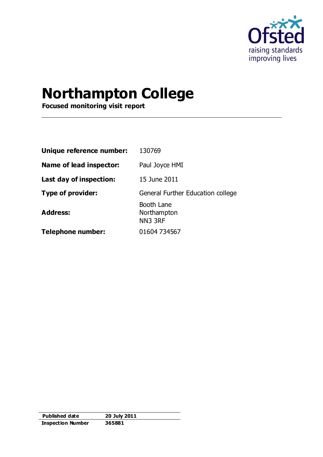

# **Northampton College**

**Focused monitoring visit report**

| Unique reference number: | 130769                               |
|--------------------------|--------------------------------------|
| Name of lead inspector:  | Paul Joyce HMI                       |
| Last day of inspection:  | 15 June 2011                         |
| <b>Type of provider:</b> | General Further Education college    |
| <b>Address:</b>          | Booth Lane<br>Northampton<br>NN3 3RF |
| <b>Telephone number:</b> | 01604 734567                         |

| Published date           | 20 July 2011 |
|--------------------------|--------------|
| <b>Inspection Number</b> | 365881       |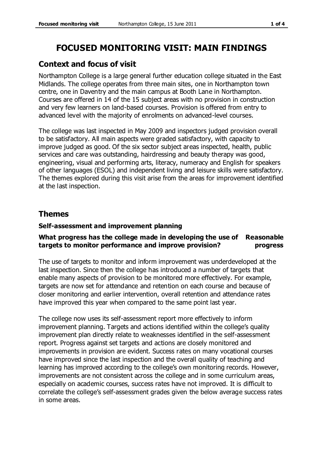## **FOCUSED MONITORING VISIT: MAIN FINDINGS**

### **Context and focus of visit**

Northampton College is a large general further education college situated in the East Midlands. The college operates from three main sites, one in Northampton town centre, one in Daventry and the main campus at Booth Lane in Northampton. Courses are offered in 14 of the 15 subject areas with no provision in construction and very few learners on land-based courses. Provision is offered from entry to advanced level with the majority of enrolments on advanced-level courses.

The college was last inspected in May 2009 and inspectors judged provision overall to be satisfactory. All main aspects were graded satisfactory, with capacity to improve judged as good. Of the six sector subject areas inspected, health, public services and care was outstanding, hairdressing and beauty therapy was good, engineering, visual and performing arts, literacy, numeracy and English for speakers of other languages (ESOL) and independent living and leisure skills were satisfactory. The themes explored during this visit arise from the areas for improvement identified at the last inspection.

### **Themes**

### **Self-assessment and improvement planning**

#### **What progress has the college made in developing the use of Reasonable targets to monitor performance and improve provision? progress**

The use of targets to monitor and inform improvement was underdeveloped at the last inspection. Since then the college has introduced a number of targets that enable many aspects of provision to be monitored more effectively. For example, targets are now set for attendance and retention on each course and because of closer monitoring and earlier intervention, overall retention and attendance rates have improved this year when compared to the same point last year.

The college now uses its self-assessment report more effectively to inform improvement planning. Targets and actions identified within the college's quality improvement plan directly relate to weaknesses identified in the self-assessment report. Progress against set targets and actions are closely monitored and improvements in provision are evident. Success rates on many vocational courses have improved since the last inspection and the overall quality of teaching and learning has improved according to the college's own monitoring records. However, improvements are not consistent across the college and in some curriculum areas, especially on academic courses, success rates have not improved. It is difficult to correlate the college's self-assessment grades given the below average success rates in some areas.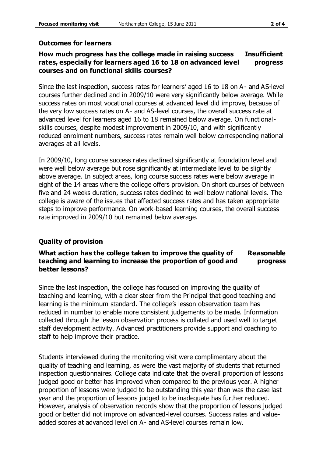### **Outcomes for learners**

#### **How much progress has the college made in raising success rates, especially for learners aged 16 to 18 on advanced level courses and on functional skills courses? Insufficient progress**

Since the last inspection, success rates for learners' aged 16 to 18 on A - and AS-level courses further declined and in 2009/10 were very significantly below average. While success rates on most vocational courses at advanced level did improve, because of the very low success rates on A- and AS-level courses, the overall success rate at advanced level for learners aged 16 to 18 remained below average. On functionalskills courses, despite modest improvement in 2009/10, and with significantly reduced enrolment numbers, success rates remain well below corresponding national averages at all levels.

In 2009/10, long course success rates declined significantly at foundation level and were well below average but rose significantly at intermediate level to be slightly above average. In subject areas, long course success rates were below average in eight of the 14 areas where the college offers provision. On short courses of between five and 24 weeks duration, success rates declined to well below national levels. The college is aware of the issues that affected success rates and has taken appropriate steps to improve performance. On work-based learning courses, the overall success rate improved in 2009/10 but remained below average.

### **Quality of provision**

#### **What action has the college taken to improve the quality of teaching and learning to increase the proportion of good and better lessons? Reasonable progress**

Since the last inspection, the college has focused on improving the quality of teaching and learning, with a clear steer from the Principal that good teaching and learning is the minimum standard. The college's lesson observation team has reduced in number to enable more consistent judgements to be made. Information collected through the lesson observation process is collated and used well to target staff development activity. Advanced practitioners provide support and coaching to staff to help improve their practice.

Students interviewed during the monitoring visit were complimentary about the quality of teaching and learning, as were the vast majority of students that returned inspection questionnaires. College data indicate that the overall proportion of lessons judged good or better has improved when compared to the previous year. A higher proportion of lessons were judged to be outstanding this year than was the case last year and the proportion of lessons judged to be inadequate has further reduced. However, analysis of observation records show that the proportion of lessons judged good or better did not improve on advanced-level courses. Success rates and valueadded scores at advanced level on A- and AS-level courses remain low.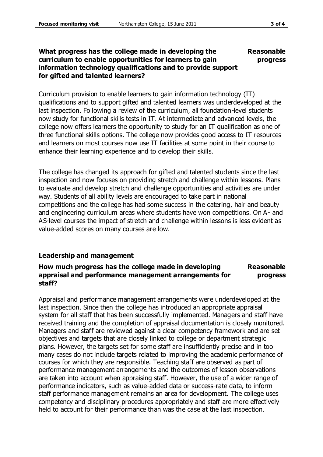#### **What progress has the college made in developing the curriculum to enable opportunities for learners to gain information technology qualifications and to provide support for gifted and talented learners? Reasonable progress**

Curriculum provision to enable learners to gain information technology (IT) qualifications and to support gifted and talented learners was underdeveloped at the last inspection. Following a review of the curriculum, all foundation-level students now study for functional skills tests in IT. At intermediate and advanced levels, the college now offers learners the opportunity to study for an IT qualification as one of three functional skills options. The college now provides good access to IT resources and learners on most courses now use IT facilities at some point in their course to enhance their learning experience and to develop their skills.

The college has changed its approach for gifted and talented students since the last inspection and now focuses on providing stretch and challenge within lessons. Plans to evaluate and develop stretch and challenge opportunities and activities are under way. Students of all ability levels are encouraged to take part in national competitions and the college has had some success in the catering, hair and beauty and engineering curriculum areas where students have won competitions. On A- and AS-level courses the impact of stretch and challenge within lessons is less evident as value-added scores on many courses are low.

### **Leadership and management**

#### **How much progress has the college made in developing appraisal and performance management arrangements for staff? Reasonable progress**

Appraisal and performance management arrangements were underdeveloped at the last inspection. Since then the college has introduced an appropriate appraisal system for all staff that has been successfully implemented. Managers and staff have received training and the completion of appraisal documentation is closely monitored. Managers and staff are reviewed against a clear competency framework and are set objectives and targets that are closely linked to college or department strategic plans. However, the targets set for some staff are insufficiently precise and in too many cases do not include targets related to improving the academic performance of courses for which they are responsible. Teaching staff are observed as part of performance management arrangements and the outcomes of lesson observations are taken into account when appraising staff. However, the use of a wider range of performance indicators, such as value-added data or success-rate data, to inform staff performance management remains an area for development. The college uses competency and disciplinary procedures appropriately and staff are more effectively held to account for their performance than was the case at the last inspection.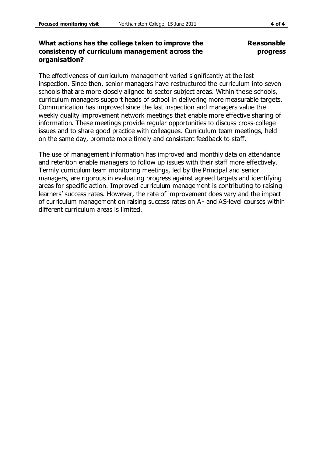**Reasonable progress**

### **What actions has the college taken to improve the consistency of curriculum management across the organisation?**

The effectiveness of curriculum management varied significantly at the last inspection. Since then, senior managers have restructured the curriculum into seven schools that are more closely aligned to sector subject areas. Within these schools, curriculum managers support heads of school in delivering more measurable targets. Communication has improved since the last inspection and managers value the weekly quality improvement network meetings that enable more effective sharing of information. These meetings provide regular opportunities to discuss cross-college issues and to share good practice with colleagues. Curriculum team meetings, held on the same day, promote more timely and consistent feedback to staff.

The use of management information has improved and monthly data on attendance and retention enable managers to follow up issues with their staff more effectively. Termly curriculum team monitoring meetings, led by the Principal and senior managers, are rigorous in evaluating progress against agreed targets and identifying areas for specific action. Improved curriculum management is contributing to raising learners' success rates. However, the rate of improvement does vary and the impact of curriculum management on raising success rates on A- and AS-level courses within different curriculum areas is limited.